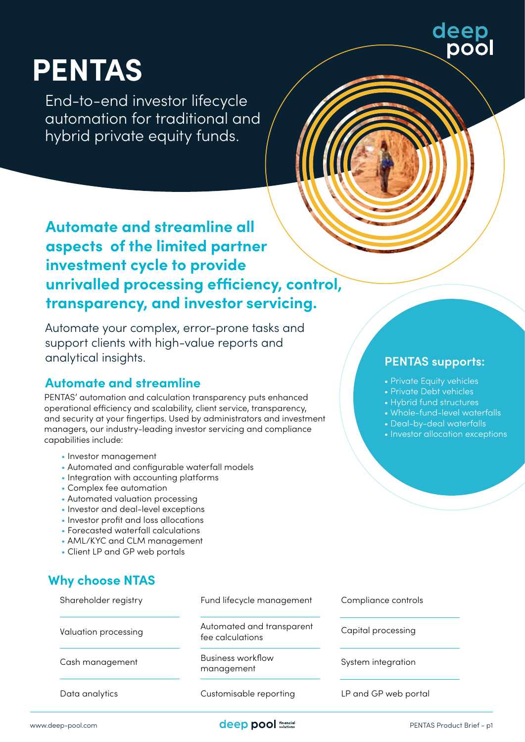# **PENTAS**

End-to-end investor lifecycle automation for traditional and hybrid private equity funds.

# **Automate and streamline all aspects of the limited partner investment cycle to provide unrivalled processing efficiency, control, transparency, and investor servicing.**

Automate your complex, error-prone tasks and support clients with high-value reports and analytical insights.

# **Automate and streamline**

PENTAS' automation and calculation transparency puts enhanced operational efficiency and scalability, client service, transparency, and security at your fingertips. Used by administrators and investment managers, our industry-leading investor servicing and compliance capabilities include:

- Investor management
- Automated and configurable waterfall models
- Integration with accounting platforms
- Complex fee automation
- Automated valuation processing
- Investor and deal-level exceptions
- Investor profit and loss allocations
- Forecasted waterfall calculations
- AML/KYC and CLM management
- Client LP and GP web portals

# **Why choose NTAS**

| Shareholder registry | Fund lifecycle management                     | Compliance controls  |
|----------------------|-----------------------------------------------|----------------------|
| Valuation processing | Automated and transparent<br>fee calculations | Capital processing   |
| Cash management      | <b>Business workflow</b><br>management        | System integration   |
| Data analytics       | Customisable reporting                        | LP and GP web portal |

### **PENTAS supports:**

nod

- Private Equity vehicles
- Private Debt vehicles
- Hybrid fund structures
- Whole-fund-level waterfalls
- Deal-by-deal waterfalls
	- Investor allocation exceptions

deep pool solutions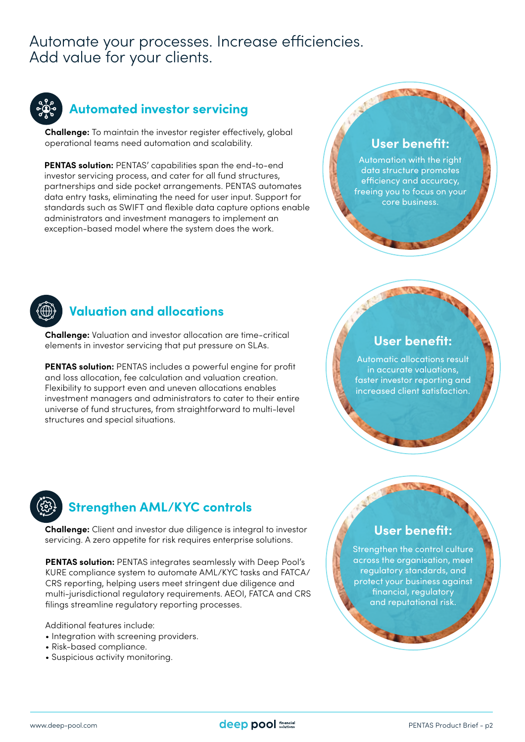# Automate your processes. Increase efficiencies. Add value for your clients.



# **Automated investor servicing**

**Challenge:** To maintain the investor register effectively, global operational teams need automation and scalability.

**PENTAS solution:** PENTAS' capabilities span the end-to-end investor servicing process, and cater for all fund structures, partnerships and side pocket arrangements. PENTAS automates data entry tasks, eliminating the need for user input. Support for standards such as SWIFT and flexible data capture options enable administrators and investment managers to implement an exception-based model where the system does the work.

### **User benefit:**

Automation with the right data structure promotes efficiency and accuracy, freeing you to focus on your core business.



# **Valuation and allocations**

**Challenge:** Valuation and investor allocation are time-critical elements in investor servicing that put pressure on SLAs.

**PENTAS solution:** PENTAS includes a powerful engine for profit and loss allocation, fee calculation and valuation creation. Flexibility to support even and uneven allocations enables investment managers and administrators to cater to their entire universe of fund structures, from straightforward to multi-level structures and special situations.

# **User benefit:**

Automatic allocations result in accurate valuations, faster investor reporting and increased client satisfaction.



# **Strengthen AML/KYC controls**

**Challenge:** Client and investor due diligence is integral to investor servicing. A zero appetite for risk requires enterprise solutions.

**PENTAS solution:** PENTAS integrates seamlessly with Deep Pool's KURE compliance system to automate AML/KYC tasks and FATCA/ CRS reporting, helping users meet stringent due diligence and multi-jurisdictional regulatory requirements. AEOI, FATCA and CRS filings streamline regulatory reporting processes.

Additional features include:

- Integration with screening providers.
- Risk-based compliance.
- Suspicious activity monitoring.



Strengthen the control culture across the organisation, meet regulatory standards, and protect your business against financial, regulatory and reputational risk.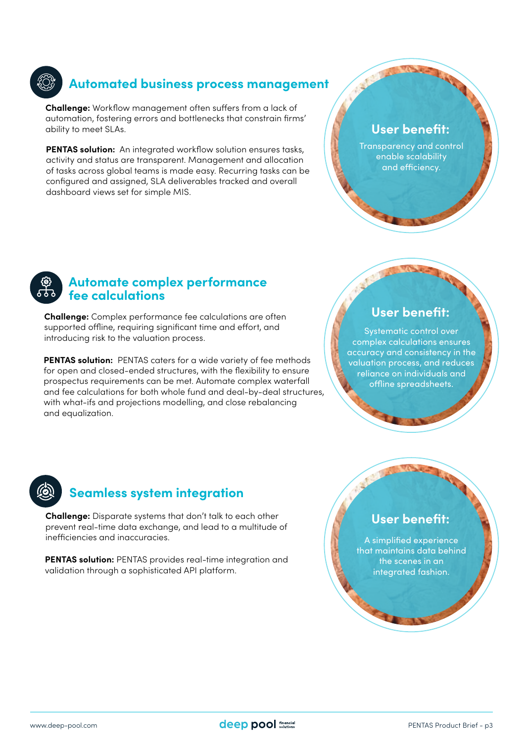# **Automated business process management**

**Challenge:** Workflow management often suffers from a lack of automation, fostering errors and bottlenecks that constrain firms' ability to meet SLAs.

**PENTAS solution:** An integrated workflow solution ensures tasks, activity and status are transparent. Management and allocation of tasks across global teams is made easy. Recurring tasks can be configured and assigned, SLA deliverables tracked and overall dashboard views set for simple MIS.

# **User benefit:**

Transparency and control enable scalability and efficiency.

### **Automate complex performance fee calculations**

**Challenge:** Complex performance fee calculations are often supported offline, requiring significant time and effort, and introducing risk to the valuation process.

**PENTAS solution:** PENTAS caters for a wide variety of fee methods for open and closed-ended structures, with the flexibility to ensure prospectus requirements can be met. Automate complex waterfall and fee calculations for both whole fund and deal-by-deal structures, with what-ifs and projections modelling, and close rebalancing and equalization.

# **User benefit:**

Systematic control over complex calculations ensures accuracy and consistency in the valuation process, and reduces reliance on individuals and offline spreadsheets.

# **Seamless system integration**

**Challenge:** Disparate systems that don't talk to each other prevent real-time data exchange, and lead to a multitude of inefficiencies and inaccuracies.

**PENTAS solution:** PENTAS provides real-time integration and validation through a sophisticated API platform.

# **User benefit:**

A simplified experience that maintains data behind the scenes in an integrated fashion.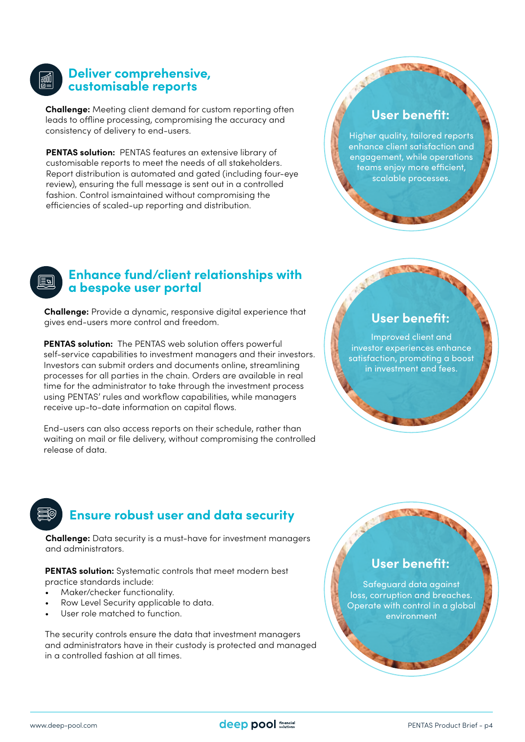### **Deliver comprehensive, customisable reports**

**Challenge:** Meeting client demand for custom reporting often leads to offline processing, compromising the accuracy and consistency of delivery to end-users.

**PENTAS solution:** PENTAS features an extensive library of customisable reports to meet the needs of all stakeholders. Report distribution is automated and gated (including four-eye review), ensuring the full message is sent out in a controlled fashion. Control ismaintained without compromising the efficiencies of scaled-up reporting and distribution.

# **User benefit:**

Higher quality, tailored reports enhance client satisfaction and engagement, while operations teams enjoy more efficient, scalable processes.

#### **Enhance fund/client relationships with**   $\overline{\mathbb{F}}$ **a bespoke user portal**

**Challenge:** Provide a dynamic, responsive digital experience that gives end-users more control and freedom.

**PENTAS solution:** The PENTAS web solution offers powerful self-service capabilities to investment managers and their investors. Investors can submit orders and documents online, streamlining processes for all parties in the chain. Orders are available in real time for the administrator to take through the investment process using PENTAS' rules and workflow capabilities, while managers receive up-to-date information on capital flows.

End-users can also access reports on their schedule, rather than waiting on mail or file delivery, without compromising the controlled release of data.

# **User benefit:**

Improved client and investor experiences enhance satisfaction, promoting a boost in investment and fees.

# **Ensure robust user and data security**

**Challenge:** Data security is a must-have for investment managers and administrators.

**PENTAS solution:** Systematic controls that meet modern best practice standards include:

- Maker/checker functionality.
- Row Level Security applicable to data.
- User role matched to function.

The security controls ensure the data that investment managers and administrators have in their custody is protected and managed in a controlled fashion at all times.

# **User benefit:**

**User benefit:**

Safeguard data against loss, corruption and breaches. Operate with control in a global environment